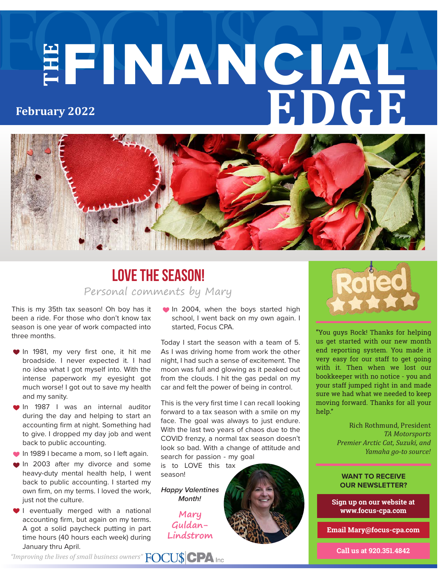# **THE** FINANCIAL **EDGE February 2022**



### Personal comments by Mary **Love the Season!**

This is my 35th tax season! Oh boy has it been a ride. For those who don't know tax season is one year of work compacted into three months.

- In 1981, my very first one, it hit me broadside. I never expected it. I had no idea what I got myself into. With the intense paperwork my eyesight got much worse! I got out to save my health and my sanity.
- **In 1987** I was an internal auditor during the day and helping to start an accounting firm at night. Something had to give. I dropped my day job and went back to public accounting.
- **In 1989 I became a mom, so I left again.**
- In 2003 after my divorce and some heavy-duty mental health help, I went back to public accounting. I started my own firm, on my terms. I loved the work, just not the culture.
- **I** eventually merged with a national accounting firm, but again on my terms. A got a solid paycheck putting in part time hours (40 hours each week) during January thru April.

**• In 2004, when the boys started high** school, I went back on my own again. I started, Focus CPA.

Today I start the season with a team of 5. As I was driving home from work the other night, I had such a sense of excitement. The moon was full and glowing as it peaked out from the clouds. I hit the gas pedal on my car and felt the power of being in control.

This is the very first time I can recall looking forward to a tax season with a smile on my face. The goal was always to just endure. With the last two years of chaos due to the COVID frenzy, a normal tax season doesn't look so bad. With a change of attitude and search for passion - my goal

is to LOVE this tax season!

*Happy Valentines Month!*

> **Mary Guldan-Lindstrom**



"You guys Rock! Thanks for helping us get started with our new month end reporting system. You made it very easy for our staff to get going with it. Then when we lost our bookkeeper with no notice - you and your staff jumped right in and made sure we had what we needed to keep moving forward. Thanks for all your help."

> Rich Rothmund, President *TA Motorsports Premier Arctic Cat, Suzuki, and Yamaha go-to source!*

#### **WANT TO RECEIVE OUR NEWSLETTER?**

**Sign up on our website at www.focus-cpa.com**

**Email Mary@focus-cpa.com**

**Call us at 920.351.4842**

*"Improving the lives of small business owners"*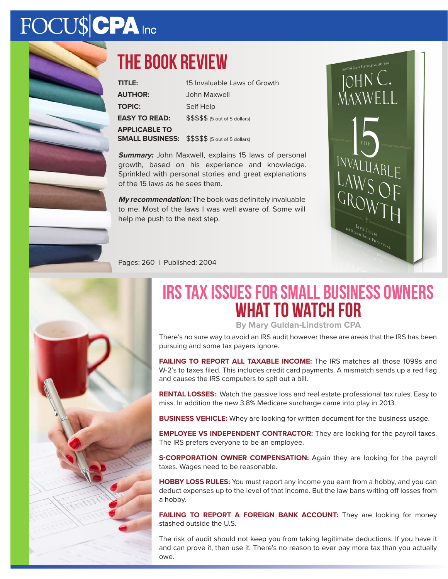# FOCU\$CPA Inc



## **The book review**

| TITLE:               | 15 Invaluable Laws of Growth                           |
|----------------------|--------------------------------------------------------|
| <b>AUTHOR:</b>       | John Maxwell                                           |
| <b>TOPIC:</b>        | Self Help                                              |
| <b>EASY TO READ:</b> | $$$$$$$$ $$$$ $$$ $$$ (5 out of 5 dollars)             |
| <b>APPLICABLE TO</b> | <b>SMALL BUSINESS:</b> \$\$\$\$\$ (5 out of 5 dollars) |

**Summary:** John Maxwell, explains 15 laws of personal growth, based on his experience and knowledge. Sprinkled with personal stories and great explanations of the 15 laws as he sees them.

**My recommendation:** The book was definitely invaluable to me. Most of the laws I was well aware of. Some will help me push to the next step.



Pages: 260 | Published: 2004



# **IRS tax issues for Small Business Owners What to watch for**

**By Mary Guldan-Lindstrom CPA**

There's no sure way to avoid an IRS audit however these are areas that the IRS has been pursuing and some tax payers ignore.

**FAILING TO REPORT ALL TAXABLE INCOME:** The IRS matches all those 1099s and W-2's to taxes filed. This includes credit card payments. A mismatch sends up a red flag and causes the IRS computers to spit out a bill.

**RENTAL LOSSES:** Watch the passive loss and real estate professional tax rules. Easy to miss. In addition the new 3.8% Medicare surcharge came into play in 2013.

**BUSINESS VEHICLE:** Whey are looking for written document for the business usage.

**EMPLOYEE VS INDEPENDENT CONTRACTOR:** They are looking for the payroll taxes. The IRS prefers everyone to be an employee.

**S-CORPORATION OWNER COMPENSATION:** Again they are looking for the payroll taxes. Wages need to be reasonable.

**HOBBY LOSS RULES:** You must report any income you earn from a hobby, and you can deduct expenses up to the level of that income. But the law bans writing off losses from a hobby.

FAILING TO REPORT A FOREIGN BANK ACCOUNT: They are looking for money stashed outside the U.S.

The risk of audit should not keep you from taking legitimate deductions. If you have it and can prove it, then use it. There's no reason to ever pay more tax than you actually owe.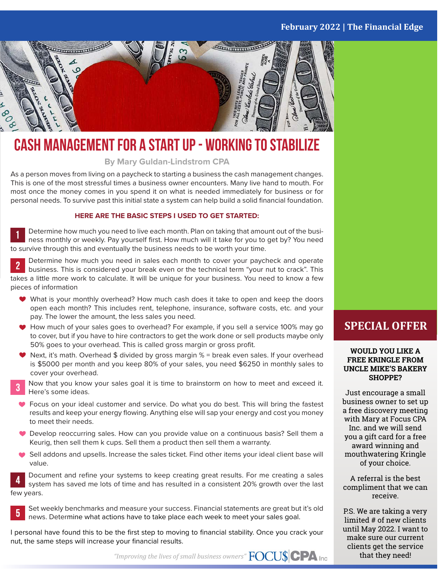#### **February 2022 | The Financial Edge**



### **Cash Management for a Start Up - Working to stabilize**

**By Mary Guldan-Lindstrom CPA**

As a person moves from living on a paycheck to starting a business the cash management changes. This is one of the most stressful times a business owner encounters. Many live hand to mouth. For most once the money comes in you spend it on what is needed immediately for business or for personal needs. To survive past this initial state a system can help build a solid financial foundation.

#### **HERE ARE THE BASIC STEPS I USED TO GET STARTED:**

Determine how much you need to live each month. Plan on taking that amount out of the business monthly or weekly. Pay yourself first. How much will it take for you to get by? You need to survive through this and eventually the business needs to be worth your time.

Determine how much you need in sales each month to cover your paycheck and operate business. This is considered your break even or the technical term "your nut to crack". This takes a little more work to calculate. It will be unique for your business. You need to know a few pieces of information

- What is your monthly overhead? How much cash does it take to open and keep the doors open each month? This includes rent, telephone, insurance, software costs, etc. and your pay. The lower the amount, the less sales you need.
- ◆ How much of your sales goes to overhead? For example, if you sell a service 100% may go to cover, but if you have to hire contractors to get the work done or sell products maybe only 50% goes to your overhead. This is called gross margin or gross profit.
- $\blacktriangleright$  Next, it's math. Overhead \$ divided by gross margin % = break even sales. If your overhead is \$5000 per month and you keep 80% of your sales, you need \$6250 in monthly sales to cover your overhead.
- Now that you know your sales goal it is time to brainstorm on how to meet and exceed it. Here's some ideas.
- Focus on your ideal customer and service. Do what you do best. This will bring the fastest results and keep your energy flowing. Anything else will sap your energy and cost you money to meet their needs.
- Develop reoccurring sales. How can you provide value on a continuous basis? Sell them a Keurig, then sell them k cups. Sell them a product then sell them a warranty.
- Sell addons and upsells. Increase the sales ticket. Find other items your ideal client base will value.

Document and refine your systems to keep creating great results. For me creating a sales system has saved me lots of time and has resulted in a consistent 20% growth over the last few years.



Set weekly benchmarks and measure your success. Financial statements are great but it's old news. Determine what actions have to take place each week to meet your sales goal.

I personal have found this to be the first step to moving to financial stability. Once you crack your nut, the same steps will increase your financial results.

*"Improving the lives of small business owners"*

#### **SPECIAL OFFER**

#### **WOULD YOU LIKE A FREE KRINGLE FROM UNCLE MIKE'S BAKERY SHOPPE?**

Just encourage a small business owner to set up a free discovery meeting with Mary at Focus CPA Inc. and we will send you a gift card for a free award winning and mouthwatering Kringle of your choice.

A referral is the best compliment that we can receive.

P.S. We are taking a very limited # of new clients until May 2022. I want to make sure our current clients get the service that they need!